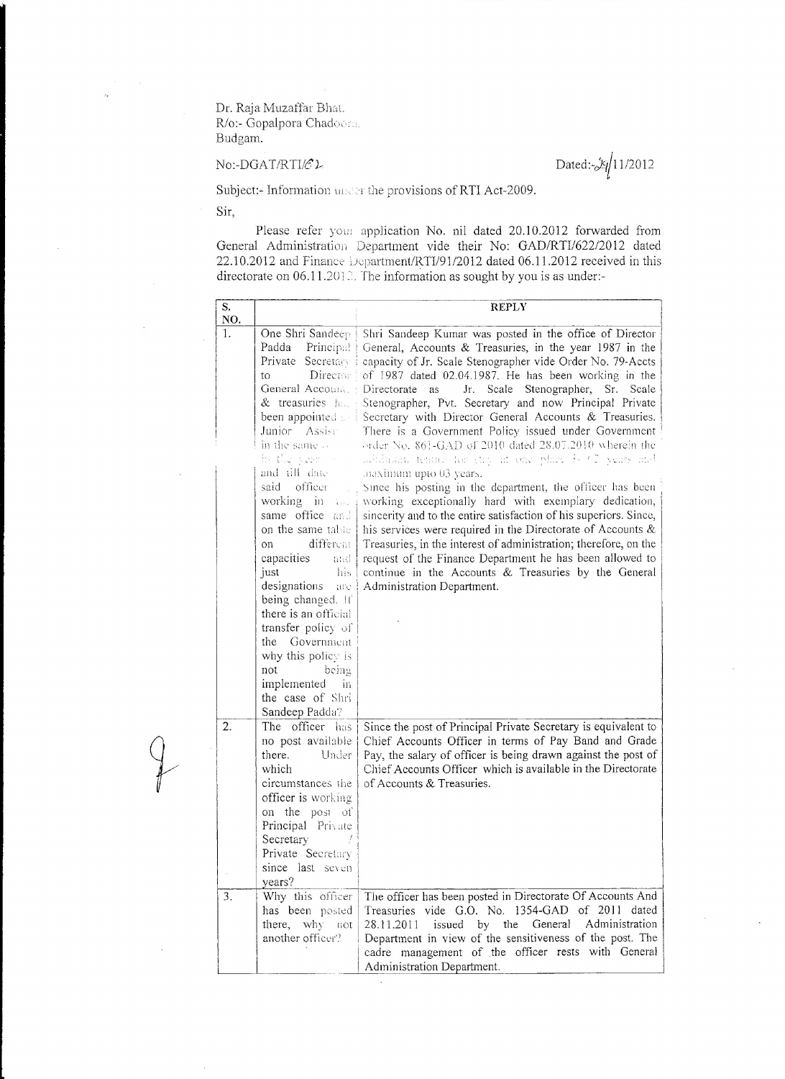Dr. Raja Muzaffar Bhat. R/o:- Gopalpora Chadoo: Budgam.

No:-DGAT/RTI/ $c$ 2. Dated:- $\frac{1}{\sqrt{11}}$ 1/2012

Subject:- Information under the provisions of RTI Act-2009.

Sir,

Please refer you! application No. nil dated 20.10.2012 forwarded from General Administration Department vide their No: GAD/RTI/622/2012 dated  $22.10.2012$  and Finance Department/RTI/91/2012 dated 06.11.2012 received in this directorate on  $06.11.201$  . The information as sought by you is as under:-

| S.        |                                                                                                                                                                                                                                                                                                                                                                                                                        | <b>REPLY</b>                                                                                                                                                                                                                                                                                                                                                                                                                                                                                                                                                                                                                                                                                                                                                                                                                                                                                                                                                                                                                                                                                               |
|-----------|------------------------------------------------------------------------------------------------------------------------------------------------------------------------------------------------------------------------------------------------------------------------------------------------------------------------------------------------------------------------------------------------------------------------|------------------------------------------------------------------------------------------------------------------------------------------------------------------------------------------------------------------------------------------------------------------------------------------------------------------------------------------------------------------------------------------------------------------------------------------------------------------------------------------------------------------------------------------------------------------------------------------------------------------------------------------------------------------------------------------------------------------------------------------------------------------------------------------------------------------------------------------------------------------------------------------------------------------------------------------------------------------------------------------------------------------------------------------------------------------------------------------------------------|
| NO.<br>1. | One Shri Sandeep<br>Padda<br>Principal<br>Director:<br>to<br>General Accounts: Directorate as<br>& treasuries had<br>been appointed and<br>Junior Assist<br>in the same of<br>in the world -<br>and till date<br>officer<br>said<br>working in $\frac{1}{2}$<br>same office and<br>on the same table<br>different<br>O <sub>1</sub><br>capacities<br>and.<br>his.<br>just<br>designations<br>arc.<br>being changed. If | Shri Sandeep Kumar was posted in the office of Director<br>General, Accounts & Treasuries, in the year 1987 in the<br>Private Secretary : capacity of Jr. Scale Stenographer vide Order No. 79-Accts<br>of 1987 dated 02.04.1987. He has been working in the<br>Jr. Scale Stenographer, Sr. Scale<br>Stenographer, Pvt. Secretary and now Principal Private<br>Secretary with Director General Accounts & Treasuries.<br>There is a Government Policy issued under Government<br>order No. 861-GAD of 2010 dated 28.07.2010 wherein the<br>adultions tented for the at one place is (7 years and<br>maximum upto 03 years.<br>Since his posting in the department, the officer has been<br>working exceptionally hard with exemplary dedication,<br>sincerity and to the entire satisfaction of his superiors. Since,<br>his services were required in the Directorate of Accounts &<br>Treasuries, in the interest of administration; therefore, on the<br>request of the Finance Department he has been allowed to<br>continue in the Accounts & Treasuries by the General<br>Administration Department. |
|           | there is an official<br>transfer policy of<br>the Government<br>why this policy is<br>not<br>being<br>implemented<br>in                                                                                                                                                                                                                                                                                                |                                                                                                                                                                                                                                                                                                                                                                                                                                                                                                                                                                                                                                                                                                                                                                                                                                                                                                                                                                                                                                                                                                            |
| 2.        | the case of Shri<br>Sandeep Padda?<br>The officer has<br>no post available<br>there.<br>Under<br>which                                                                                                                                                                                                                                                                                                                 | Since the post of Principal Private Secretary is equivalent to<br>Chief Accounts Officer in terms of Pay Band and Grade<br>Pay, the salary of officer is being drawn against the post of<br>Chief Accounts Officer which is available in the Directorate                                                                                                                                                                                                                                                                                                                                                                                                                                                                                                                                                                                                                                                                                                                                                                                                                                                   |
|           | circumstances the<br>officer is working<br>on the post of<br>Principal Private<br>Secretary<br>Private Secretary<br>since last seven<br>years?                                                                                                                                                                                                                                                                         | of Accounts & Treasuries.                                                                                                                                                                                                                                                                                                                                                                                                                                                                                                                                                                                                                                                                                                                                                                                                                                                                                                                                                                                                                                                                                  |
| 3.        | Why this officer<br>has been posted<br>there, why not<br>another officer?                                                                                                                                                                                                                                                                                                                                              | The officer has been posted in Directorate Of Accounts And<br>Treasuries vide G.O. No. 1354-GAD of 2011 dated<br>Administration<br>General<br>28.11.2011<br>issued<br>by the<br>Department in view of the sensitiveness of the post. The<br>cadre management of the officer rests with General<br>Administration Department.                                                                                                                                                                                                                                                                                                                                                                                                                                                                                                                                                                                                                                                                                                                                                                               |

 $\bar{\bar{z}}$